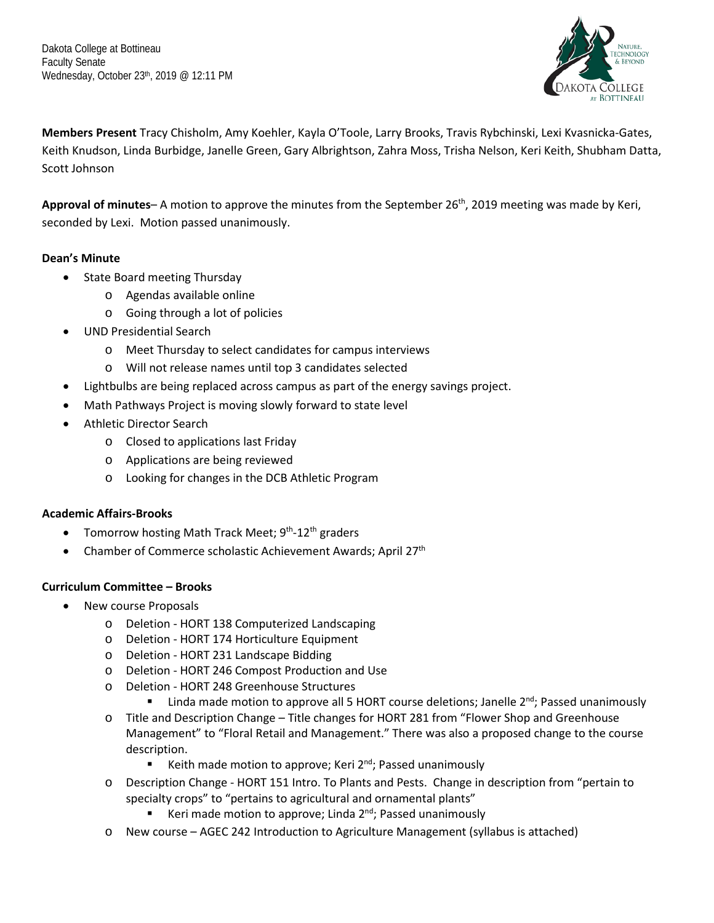Dakota College at Bottineau Faculty Senate Wednesday, October 23th, 2019 @ 12:11 PM



**Members Present** Tracy Chisholm, Amy Koehler, Kayla O'Toole, Larry Brooks, Travis Rybchinski, Lexi Kvasnicka-Gates, Keith Knudson, Linda Burbidge, Janelle Green, Gary Albrightson, Zahra Moss, Trisha Nelson, Keri Keith, Shubham Datta, Scott Johnson

Approval of minutes- A motion to approve the minutes from the September 26<sup>th</sup>, 2019 meeting was made by Keri, seconded by Lexi. Motion passed unanimously.

## **Dean's Minute**

- State Board meeting Thursday
	- o Agendas available online
	- o Going through a lot of policies
- UND Presidential Search
	- o Meet Thursday to select candidates for campus interviews
	- o Will not release names until top 3 candidates selected
- Lightbulbs are being replaced across campus as part of the energy savings project.
- Math Pathways Project is moving slowly forward to state level
- Athletic Director Search
	- o Closed to applications last Friday
	- o Applications are being reviewed
	- o Looking for changes in the DCB Athletic Program

### **Academic Affairs-Brooks**

- Tomorrow hosting Math Track Meet; 9<sup>th</sup>-12<sup>th</sup> graders
- Chamber of Commerce scholastic Achievement Awards; April  $27<sup>th</sup>$

### **Curriculum Committee – Brooks**

- New course Proposals
	- o Deletion HORT 138 Computerized Landscaping
	- o Deletion HORT 174 Horticulture Equipment
	- o Deletion HORT 231 Landscape Bidding
	- o Deletion HORT 246 Compost Production and Use
	- o Deletion HORT 248 Greenhouse Structures
		- Linda made motion to approve all 5 HORT course deletions; Janelle  $2<sup>nd</sup>$ ; Passed unanimously
	- o Title and Description Change Title changes for HORT 281 from "Flower Shop and Greenhouse Management" to "Floral Retail and Management." There was also a proposed change to the course description.
		- E Keith made motion to approve; Keri  $2^{nd}$ ; Passed unanimously
	- o Description Change HORT 151 Intro. To Plants and Pests. Change in description from "pertain to specialty crops" to "pertains to agricultural and ornamental plants"
		- E Keri made motion to approve; Linda  $2^{nd}$ ; Passed unanimously
	- o New course AGEC 242 Introduction to Agriculture Management (syllabus is attached)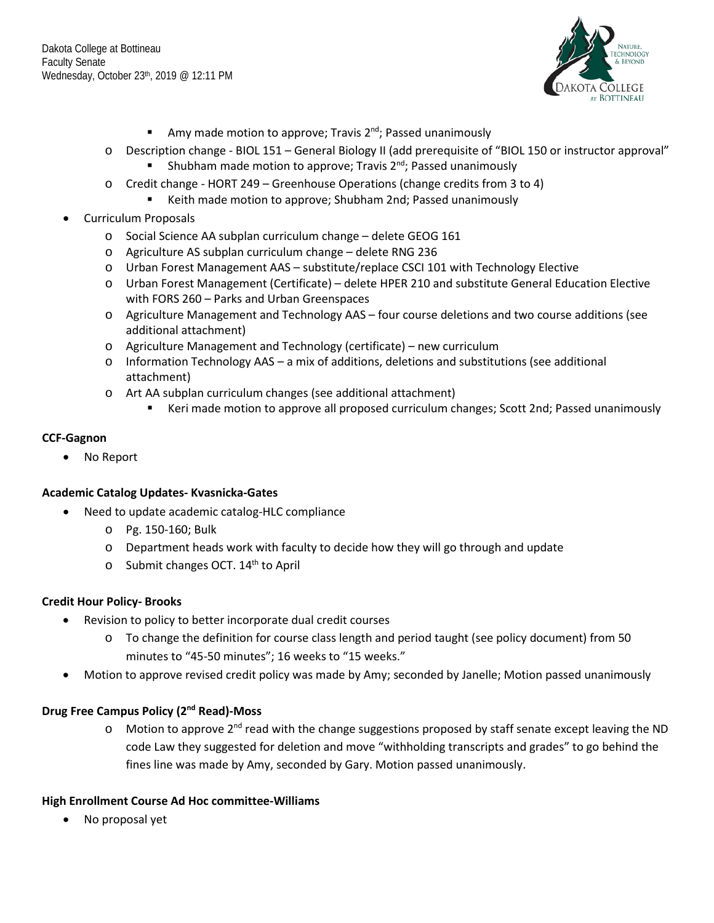

- Amy made motion to approve; Travis  $2^{nd}$ ; Passed unanimously
- o Description change BIOL 151 General Biology II (add prerequisite of "BIOL 150 or instructor approval" Shubham made motion to approve; Travis  $2<sup>nd</sup>$ ; Passed unanimously
- o Credit change HORT 249 Greenhouse Operations (change credits from 3 to 4)
	- Keith made motion to approve; Shubham 2nd; Passed unanimously
- Curriculum Proposals
	- o Social Science AA subplan curriculum change delete GEOG 161
	- o Agriculture AS subplan curriculum change delete RNG 236
	- o Urban Forest Management AAS substitute/replace CSCI 101 with Technology Elective
	- o Urban Forest Management (Certificate) delete HPER 210 and substitute General Education Elective with FORS 260 – Parks and Urban Greenspaces
	- o Agriculture Management and Technology AAS four course deletions and two course additions (see additional attachment)
	- o Agriculture Management and Technology (certificate) new curriculum
	- o Information Technology AAS a mix of additions, deletions and substitutions (see additional attachment)
	- o Art AA subplan curriculum changes (see additional attachment)
		- Keri made motion to approve all proposed curriculum changes; Scott 2nd; Passed unanimously

### **CCF-Gagnon**

• No Report

### **Academic Catalog Updates- Kvasnicka-Gates**

- Need to update academic catalog-HLC compliance
	- o Pg. 150-160; Bulk
	- $\circ$  Department heads work with faculty to decide how they will go through and update
	- $\circ$  Submit changes OCT. 14<sup>th</sup> to April

### **Credit Hour Policy- Brooks**

- Revision to policy to better incorporate dual credit courses
	- o To change the definition for course class length and period taught (see policy document) from 50 minutes to "45-50 minutes"; 16 weeks to "15 weeks."
- Motion to approve revised credit policy was made by Amy; seconded by Janelle; Motion passed unanimously

# **Drug Free Campus Policy (2nd Read)-Moss**

o Motion to approve 2<sup>nd</sup> read with the change suggestions proposed by staff senate except leaving the ND code Law they suggested for deletion and move "withholding transcripts and grades" to go behind the fines line was made by Amy, seconded by Gary. Motion passed unanimously.

### **High Enrollment Course Ad Hoc committee-Williams**

• No proposal yet